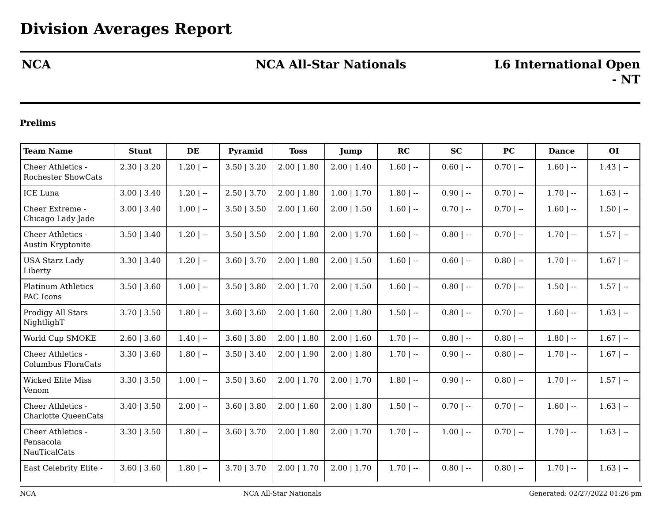# **NCA NCA All-Star Nationals L6 International Open**

## **Prelims**

| <b>Team Name</b>                                | <b>Stunt</b>    | DE           | Pyramid         | <b>Toss</b>   | Jump            | RC           | <b>SC</b>   | PC          | <b>Dance</b> | <b>OI</b>    |
|-------------------------------------------------|-----------------|--------------|-----------------|---------------|-----------------|--------------|-------------|-------------|--------------|--------------|
| Cheer Athletics -<br><b>Rochester ShowCats</b>  | 2.30   3.20     | $1.20$   $-$ | $3.50$   $3.20$ | $2.00$   1.80 | $2.00$   $1.40$ | $1.60$   $-$ | $0.60$   -- | $0.70$   -- | $1.60$   $-$ | $1.43$   $-$ |
| <b>ICE</b> Luna                                 | $3.00$   $3.40$ | $1.20$   $-$ | $2.50$   3.70   | $2.00$   1.80 | $1.00$   $1.70$ | $1.80$   $-$ | $0.90$   -- | $0.70$   -- | $1.70$   --  | $1.63$   $-$ |
| Cheer Extreme -<br>Chicago Lady Jade            | $3.00$   $3.40$ | $1.00$   --  | $3.50$   $3.50$ | $2.00$   1.60 | $2.00$   1.50   | $1.60$   --  | $0.70$   -- | $0.70$   -- | $1.60$   --  | $1.50$   $-$ |
| Cheer Athletics -<br>Austin Kryptonite          | $3.50$   $3.40$ | $1.20$   $-$ | $3.50$   $3.50$ | $2.00$   1.80 | $2.00$   1.70   | $1.60$   --  | $0.80$   -- | $0.70$   -- | $1.70$   $-$ | $1.57$   $-$ |
| <b>USA Starz Lady</b><br>Liberty                | 3.30   3.40     | $1.20$   $-$ | $3.60$   $3.70$ | $2.00$   1.80 | $2.00$   1.50   | $1.60$   $-$ | $0.60$   -- | $0.80$   -- | $1.70$   $-$ | $1.67$   --  |
| <b>Platinum Athletics</b><br>PAC Icons          | $3.50$   $3.60$ | $1.00$   --  | $3.50$   $3.80$ | $2.00$   1.70 | $2.00$   $1.50$ | $1.60$   --  | $0.80$   -- | $0.70$   -- | $1.50$   $-$ | $1.57$   --  |
| Prodigy All Stars<br>NightlighT                 | $3.70$   $3.50$ | $1.80$   --  | $3.60$   $3.60$ | $2.00$   1.60 | $2.00$   1.80   | $1.50$   --  | $0.80$   -- | $0.70$   -- | $1.60$   $-$ | $1.63$   --  |
| World Cup SMOKE                                 | $2.60$   $3.60$ | $1.40$   $-$ | $3.60$   $3.80$ | $2.00$   1.80 | $2.00$   1.60   | $1.70$   $-$ | $0.80$   -- | $0.80$   -- | $1.80$   $-$ | $1.67$   --  |
| Cheer Athletics -<br>Columbus FloraCats         | $3.30$   $3.60$ | $1.80$   --  | $3.50$   $3.40$ | $2.00$   1.90 | $2.00$   1.80   | $1.70$   $-$ | $0.90$   -- | $0.80$   -- | $1.70$   $-$ | $1.67$   $-$ |
| <b>Wicked Elite Miss</b><br>Venom               | $3.30$   $3.50$ | $1.00$   --  | $3.50$   $3.60$ | $2.00$   1.70 | $2.00$   1.70   | $1.80$   $-$ | $0.90$   -- | $0.80$   -- | $1.70$   --  | $1.57$   --  |
| Cheer Athletics -<br><b>Charlotte QueenCats</b> | $3.40$   $3.50$ | $2.00$   --  | $3.60$   $3.80$ | $2.00$   1.60 | $2.00$   1.80   | $1.50$   --  | $0.70$   -- | $0.70$   -- | $1.60$   $-$ | $1.63$   $-$ |
| Cheer Athletics -<br>Pensacola<br>NauTicalCats  | $3.30$   $3.50$ | $1.80$   --  | $3.60$   $3.70$ | $2.00$   1.80 | $2.00$   1.70   | $1.70$   $-$ | $1.00$   -- | $0.70$   -- | $1.70$   $-$ | $1.63$   --  |
| East Celebrity Elite -                          | $3.60$   $3.60$ | $1.80$   --  | $3.70$   $3.70$ | $2.00$   1.70 | $2.00$   1.70   | $1.70$   $-$ | $0.80$   -- | $0.80$   -- | $1.70$   $-$ | $1.63$   $-$ |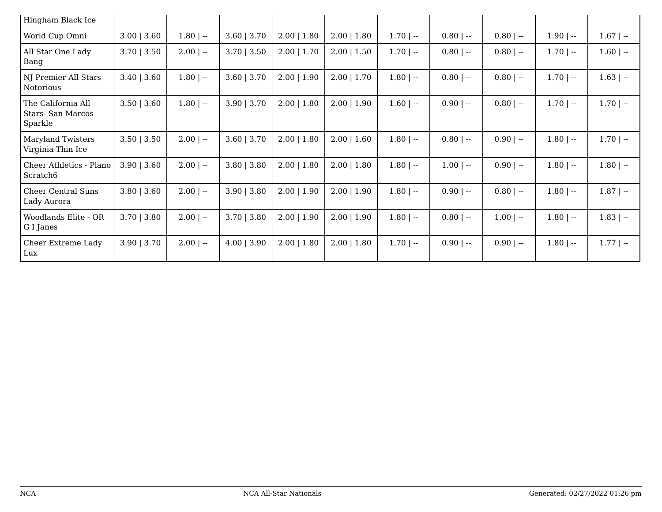| Hingham Black Ice                                 |                  |             |                 |                 |                  |              |              |             |              |              |
|---------------------------------------------------|------------------|-------------|-----------------|-----------------|------------------|--------------|--------------|-------------|--------------|--------------|
| World Cup Omni                                    | $3.00$   $3.60$  | $1.80$   -- | $3.60$   $3.70$ | $2.00$   1.80   | $2.00 \mid 1.80$ | $1.70$   $-$ | $0.80$   --  | $0.80$   -- | $1.90$   --  | $1.67$   $-$ |
| All Star One Lady<br>Bang                         | $3.70$   $3.50$  | $2.00$   -- | $3.70$   $3.50$ | $2.00$   1.70   | $2.00$   1.50    | $1.70$   $-$ | $0.80$   --  | $0.80$   -- | $1.70$   $-$ | $1.60$   --  |
| NJ Premier All Stars<br><b>Notorious</b>          | $3.40$   $3.60$  | $1.80$   -- | $3.60$   $3.70$ | $2.00$   $1.90$ | $2.00$   1.70    | $1.80$   $-$ | $0.80$   --  | $0.80$   -- | $1.70$   $-$ | $1.63$   --  |
| The California All<br>Stars-San Marcos<br>Sparkle | $3.50$   $3.60$  | $1.80$   -- | $3.90$   $3.70$ | $2.00$   1.80   | $2.00$   1.90    | $1.60$   --  | $0.90$   --  | $0.80$   -- | $1.70$   $-$ | $1.70$   $-$ |
| <b>Maryland Twisters</b><br>Virginia Thin Ice     | $3.50$   $3.50$  | $2.00$   -- | $3.60$   $3.70$ | $2.00$   1.80   | $2.00$   1.60    | $1.80$   $-$ | $0.80$   --  | $0.90$   -- | $1.80$   $-$ | $1.70$   $-$ |
| Cheer Athletics - Plano<br>Scratch <sub>6</sub>   | $3.90 \mid 3.60$ | $2.00$   -- | $3.80$   $3.80$ | $2.00$   1.80   | $2.00$   1.80    | $1.80$   $-$ | $1.00$   $-$ | $0.90$   -- | $1.80$   $-$ | $1.80$   --  |
| <b>Cheer Central Suns</b><br>Lady Aurora          | $3.80$   $3.60$  | $2.00$   -- | 3.90   3.80     | $2.00$   1.90   | $2.00$   1.90    | $1.80$   $-$ | $0.90$   --  | $0.80$   -- | $1.80$   $-$ | $1.87$   --  |
| Woodlands Elite - OR<br>G I Janes                 | $3.70$   $3.80$  | $2.00$   -- | $3.70$   $3.80$ | $2.00$   $1.90$ | $2.00$   1.90    | $1.80$   $-$ | $0.80$   --  | $1.00$   -- | $1.80$   $-$ | $1.83$   --  |
| Cheer Extreme Lady<br>Lux                         | $3.90$   $3.70$  | $2.00$   -- | $4.00$   3.90   | $2.00$   1.80   | $2.00$   1.80    | $1.70$   $-$ | $0.90$   --  | $0.90$   -- | $1.80$   --  | $1.77$   --  |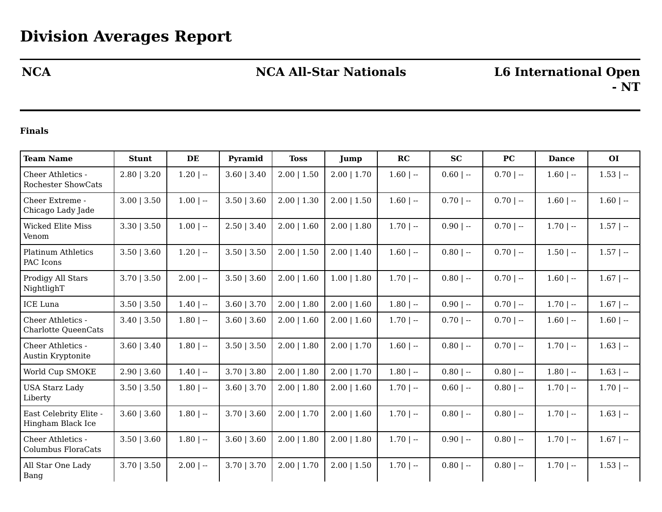## **NCA NCA All-Star Nationals L6 International Open**

### **Finals**

| <b>Team Name</b>                               | <b>Stunt</b>    | DE           | Pyramid         | <b>Toss</b>      | Jump             | RC           | <b>SC</b>   | <b>PC</b>   | <b>Dance</b> | <b>OI</b>    |
|------------------------------------------------|-----------------|--------------|-----------------|------------------|------------------|--------------|-------------|-------------|--------------|--------------|
| Cheer Athletics -<br><b>Rochester ShowCats</b> | $2.80$   $3.20$ | $1.20$   $-$ | $3.60$   $3.40$ | $2.00$   1.50    | $2.00$   1.70    | $1.60$   $-$ | $0.60$   -- | $0.70$   -- | $1.60$   $-$ | $1.53$   $-$ |
| Cheer Extreme -<br>Chicago Lady Jade           | $3.00$   $3.50$ | $1.00$   --  | $3.50$   $3.60$ | $2.00$   1.30    | $2.00$   $1.50$  | $1.60$   $-$ | $0.70$   -- | $0.70$   -- | $1.60$   $-$ | $1.60$   --  |
| <b>Wicked Elite Miss</b><br>Venom              | $3.30$   $3.50$ | $1.00$   --  | 2.50   3.40     | $2.00$   1.60    | $2.00$   1.80    | $1.70$   --  | $0.90$   -- | $0.70$   -- | $1.70$   $-$ | $1.57$   $-$ |
| <b>Platinum Athletics</b><br>PAC Icons         | $3.50$   $3.60$ | $1.20$   $-$ | $3.50$   $3.50$ | $2.00$   1.50    | $2.00$   1.40    | $1.60$   $-$ | $0.80$   -- | $0.70$   -- | $1.50$   $-$ | $1.57$   $-$ |
| Prodigy All Stars<br>NightlighT                | $3.70$   $3.50$ | $2.00$   --  | $3.50$   $3.60$ | $2.00$   1.60    | $1.00$   1.80    | $1.70$   $-$ | $0.80$   -- | $0.70$   -- | $1.60$   $-$ | $1.67$   --  |
| <b>ICE</b> Luna                                | $3.50$   $3.50$ | $1.40$   $-$ | $3.60$   $3.70$ | $2.00$   1.80    | $2.00$   1.60    | $1.80$   $-$ | $0.90$   -- | $0.70$   -- | $1.70$   --  | $1.67$   --  |
| Cheer Athletics -<br>Charlotte QueenCats       | $3.40$   $3.50$ | $1.80$   $-$ | $3.60$   $3.60$ | $2.00 \mid 1.60$ | $2.00 \mid 1.60$ | $1.70$   --  | $0.70$   -- | $0.70$   -- | $1.60$   --  | $1.60$   $-$ |
| Cheer Athletics -<br>Austin Kryptonite         | $3.60$   $3.40$ | $1.80$   $-$ | $3.50$   $3.50$ | $2.00$   1.80    | $2.00$   1.70    | $1.60$   $-$ | $0.80$   -- | $0.70$   -- | $1.70$   $-$ | $1.63$   $-$ |
| World Cup SMOKE                                | $2.90$   3.60   | $1.40$   $-$ | $3.70$   $3.80$ | $2.00$   1.80    | $2.00$   1.70    | $1.80$   $-$ | $0.80$   -- | $0.80$   -- | $1.80$   $-$ | $1.63$   --  |
| <b>USA Starz Lady</b><br>Liberty               | $3.50$   $3.50$ | $1.80$   --  | $3.60$   $3.70$ | $2.00$   1.80    | $2.00$   1.60    | $1.70$   $-$ | $0.60$   -- | $0.80$   -- | $1.70$   $-$ | $1.70$   $-$ |
| East Celebrity Elite -<br>Hingham Black Ice    | $3.60$   $3.60$ | $1.80$   $-$ | $3.70$   $3.60$ | $2.00$   1.70    | $2.00$   1.60    | $1.70$   $-$ | $0.80$   -- | $0.80$   -- | $1.70$   $-$ | $1.63$   $-$ |
| Cheer Athletics -<br><b>Columbus FloraCats</b> | $3.50$   $3.60$ | $1.80$   $-$ | $3.60$   $3.60$ | $2.00$   1.80    | $2.00$   1.80    | $1.70$   $-$ | $0.90$   -- | $0.80$   -- | $1.70$   $-$ | $1.67$   $-$ |
| All Star One Lady<br>Bang                      | $3.70$   $3.50$ | $2.00$   --  | $3.70$   $3.70$ | $2.00$   1.70    | $2.00$   1.50    | $1.70$   $-$ | $0.80$   -- | $0.80$   -- | $1.70$   $-$ | $1.53$   $-$ |